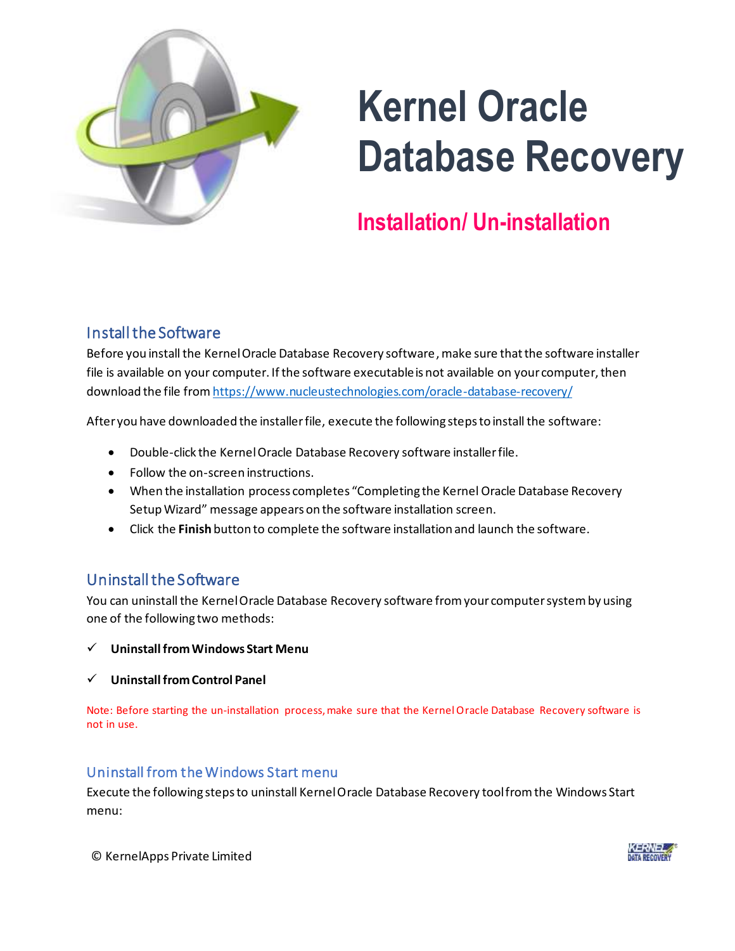

# **Kernel Oracle Database Recovery**

# **Installation/ Un-installation**

## Install the Software

Before you install the Kernel Oracle Database Recovery software, make sure that the software installer file is available on your computer. If the software executable is not available on your computer, then download the file fro[m https://www.nucleustechnologies.com/oracle-database-recovery/](https://www.nucleustechnologies.com/oracle-database-recovery/)

After you have downloaded the installer file, execute the following steps to install the software:

- Double-click the Kernel Oracle Database Recovery software installer file.
- Follow the on-screen instructions.
- When the installation process completes "Completing the Kernel Oracle Database Recovery Setup Wizard" message appears on the software installation screen.
- Click the **Finish** button to complete the software installation and launch the software.

## Uninstall the Software

You can uninstall the Kernel Oracle Database Recovery software from your computer system by using one of the following two methods:

- ✓ **Uninstall from Windows Start Menu**
- ✓ **Uninstall from Control Panel**

Note: Before starting the un-installation process, make sure that the Kernel Oracle Database Recovery software is not in use.

#### Uninstall from the Windows Start menu

Execute the following steps to uninstall Kernel Oracle Database Recovery tool from the Windows Start menu:

© KernelApps Private Limited